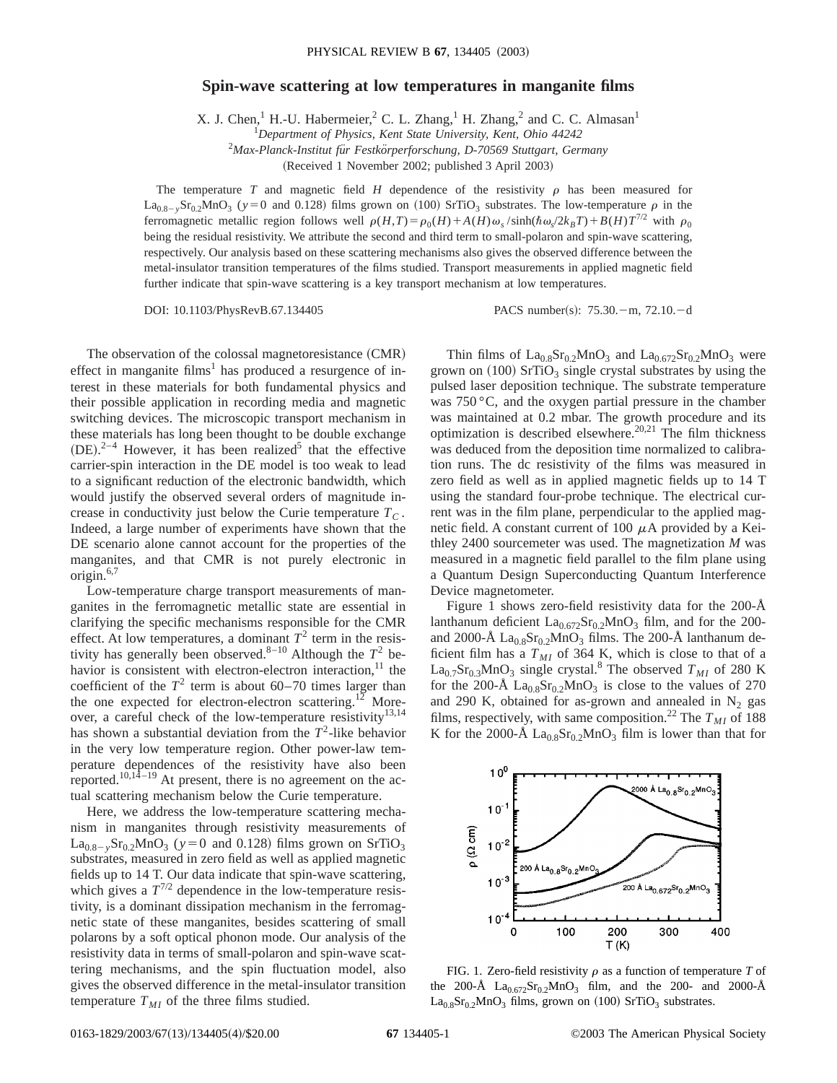## **Spin-wave scattering at low temperatures in manganite films**

X. J. Chen,<sup>1</sup> H.-U. Habermeier,<sup>2</sup> C. L. Zhang,<sup>1</sup> H. Zhang,<sup>2</sup> and C. C. Almasan<sup>1</sup>

1 *Department of Physics, Kent State University, Kent, Ohio 44242*

2 *Max-Planck-Institut fu¨r Festko¨rperforschung, D-70569 Stuttgart, Germany*

(Received 1 November 2002; published 3 April 2003)

The temperature *T* and magnetic field *H* dependence of the resistivity  $\rho$  has been measured for  $La_{0.8-y}Sr_{0.2}MnO_3$  (*y* = 0 and 0.128) films grown on (100) SrTiO<sub>3</sub> substrates. The low-temperature  $\rho$  in the ferromagnetic metallic region follows well  $\rho(H,T) = \rho_0(H) + A(H)\omega_s / \sinh(\hbar\omega_s / 2k_B T) + B(H)T^{7/2}$  with  $\rho_0$ being the residual resistivity. We attribute the second and third term to small-polaron and spin-wave scattering, respectively. Our analysis based on these scattering mechanisms also gives the observed difference between the metal-insulator transition temperatures of the films studied. Transport measurements in applied magnetic field further indicate that spin-wave scattering is a key transport mechanism at low temperatures.

DOI: 10.1103/PhysRevB.67.134405 PACS number(s): 75.30. - m, 72.10. - d

The observation of the colossal magnetoresistance (CMR) effect in manganite films<sup>1</sup> has produced a resurgence of interest in these materials for both fundamental physics and their possible application in recording media and magnetic switching devices. The microscopic transport mechanism in these materials has long been thought to be double exchange  $(DE).^{2-4}$  However, it has been realized<sup>5</sup> that the effective carrier-spin interaction in the DE model is too weak to lead to a significant reduction of the electronic bandwidth, which would justify the observed several orders of magnitude increase in conductivity just below the Curie temperature  $T_C$ . Indeed, a large number of experiments have shown that the DE scenario alone cannot account for the properties of the manganites, and that CMR is not purely electronic in origin. $6,7$ 

Low-temperature charge transport measurements of manganites in the ferromagnetic metallic state are essential in clarifying the specific mechanisms responsible for the CMR effect. At low temperatures, a dominant  $T^2$  term in the resistivity has generally been observed.<sup>8–10</sup> Although the  $T^2$  behavior is consistent with electron-electron interaction, $^{11}$  the coefficient of the  $T^2$  term is about 60–70 times larger than the one expected for electron-electron scattering.<sup>12</sup> Moreover, a careful check of the low-temperature resistivity<sup>13,14</sup> has shown a substantial deviation from the  $T^2$ -like behavior in the very low temperature region. Other power-law temperature dependences of the resistivity have also been reported.<sup>10,14–19</sup> At present, there is no agreement on the actual scattering mechanism below the Curie temperature.

Here, we address the low-temperature scattering mechanism in manganites through resistivity measurements of  $La_{0.8-y}Sr_{0.2}MnO_3$  ( $y=0$  and 0.128) films grown on SrTiO<sub>3</sub> substrates, measured in zero field as well as applied magnetic fields up to 14 T. Our data indicate that spin-wave scattering, which gives a  $T^{7/2}$  dependence in the low-temperature resistivity, is a dominant dissipation mechanism in the ferromagnetic state of these manganites, besides scattering of small polarons by a soft optical phonon mode. Our analysis of the resistivity data in terms of small-polaron and spin-wave scattering mechanisms, and the spin fluctuation model, also gives the observed difference in the metal-insulator transition temperature  $T_{MI}$  of the three films studied.

Thin films of  $La<sub>0.8</sub>Sr<sub>0.2</sub>MnO<sub>3</sub>$  and  $La<sub>0.672</sub>Sr<sub>0.2</sub>MnO<sub>3</sub>$  were grown on  $(100)$  SrTiO<sub>3</sub> single crystal substrates by using the pulsed laser deposition technique. The substrate temperature was 750 °C, and the oxygen partial pressure in the chamber was maintained at 0.2 mbar. The growth procedure and its optimization is described elsewhere.<sup>20,21</sup> The film thickness was deduced from the deposition time normalized to calibration runs. The dc resistivity of the films was measured in zero field as well as in applied magnetic fields up to 14 T using the standard four-probe technique. The electrical current was in the film plane, perpendicular to the applied magnetic field. A constant current of 100  $\mu$ A provided by a Keithley 2400 sourcemeter was used. The magnetization *M* was measured in a magnetic field parallel to the film plane using a Quantum Design Superconducting Quantum Interference Device magnetometer.

Figure 1 shows zero-field resistivity data for the 200-Å lanthanum deficient  $La_{0.672}Sr_{0.2}MnO_3$  film, and for the 200and 2000-Å  $La<sub>0.8</sub>Sr<sub>0.2</sub>MnO<sub>3</sub>$  films. The 200-Å lanthanum deficient film has a  $T_{MI}$  of 364 K, which is close to that of a  $La<sub>0.7</sub>Sr<sub>0.3</sub>MnO<sub>3</sub>$  single crystal.<sup>8</sup> The observed  $T<sub>MI</sub>$  of 280 K for the 200-Å  $La<sub>0.8</sub>Sr<sub>0.2</sub>MnO<sub>3</sub>$  is close to the values of 270 and 290 K, obtained for as-grown and annealed in  $N_2$  gas films, respectively, with same composition.<sup>22</sup> The  $T_{MI}$  of 188 K for the 2000-Å  $La<sub>0.8</sub>Sr<sub>0.2</sub>MnO<sub>3</sub>$  film is lower than that for



FIG. 1. Zero-field resistivity  $\rho$  as a function of temperature *T* of the 200-Å  $La_{0.672}Sr_{0.2}MnO_3$  film, and the 200- and 2000-Å  $La<sub>0.8</sub>Sr<sub>0.2</sub>MnO<sub>3</sub>$  films, grown on (100) SrTiO<sub>3</sub> substrates.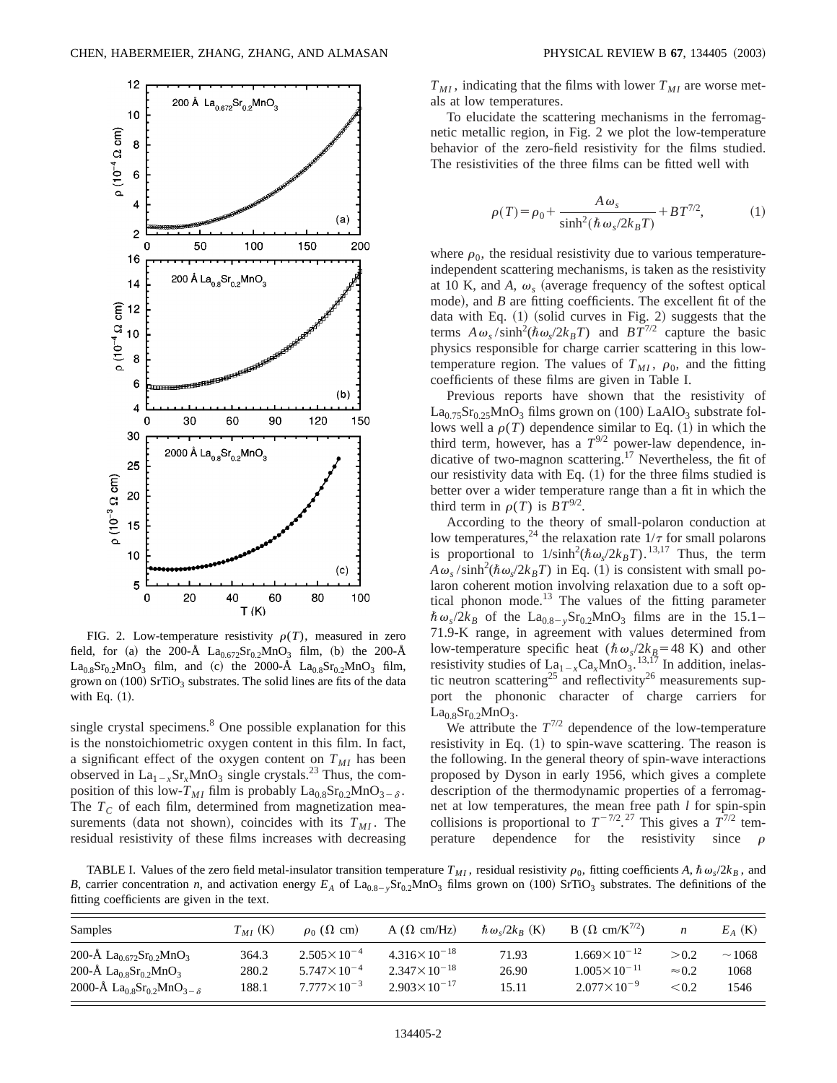

FIG. 2. Low-temperature resistivity  $\rho(T)$ , measured in zero field, for (a) the 200-Å  $La_{0.672}Sr_{0.2}MnO_3$  film, (b) the 200-Å  $La<sub>0.8</sub>Sr<sub>0.2</sub>MnO<sub>3</sub>$  film, and (c) the 2000-Å  $La<sub>0.8</sub>Sr<sub>0.2</sub>MnO<sub>3</sub>$  film, grown on  $(100)$  SrTiO<sub>3</sub> substrates. The solid lines are fits of the data with Eq.  $(1)$ .

single crystal specimens.<sup>8</sup> One possible explanation for this is the nonstoichiometric oxygen content in this film. In fact, a significant effect of the oxygen content on  $T_{MI}$  has been observed in  $La_{1-x}Sr_xMnO_3$  single crystals.<sup>23</sup> Thus, the composition of this low- $T_{MI}$  film is probably  $\text{La}_{0.8}\text{Sr}_{0.2}\text{MnO}_{3-\delta}$ . The  $T_c$  of each film, determined from magnetization measurements (data not shown), coincides with its  $T_{MI}$ . The residual resistivity of these films increases with decreasing  $T_{MI}$ , indicating that the films with lower  $T_{MI}$  are worse metals at low temperatures.

To elucidate the scattering mechanisms in the ferromagnetic metallic region, in Fig. 2 we plot the low-temperature behavior of the zero-field resistivity for the films studied. The resistivities of the three films can be fitted well with

$$
\rho(T) = \rho_0 + \frac{A\,\omega_s}{\sinh^2(\hbar\,\omega_s/2k_BT)} + BT^{7/2},\tag{1}
$$

where  $\rho_0$ , the residual resistivity due to various temperatureindependent scattering mechanisms, is taken as the resistivity at 10 K, and A,  $\omega_s$  (average frequency of the softest optical mode), and  $B$  are fitting coefficients. The excellent fit of the data with Eq.  $(1)$  (solid curves in Fig. 2) suggests that the terms  $A\omega_s / \sinh^2(\hbar\omega_s / 2k_B T)$  and  $BT^{7/2}$  capture the basic physics responsible for charge carrier scattering in this lowtemperature region. The values of  $T_{MI}$ ,  $\rho_0$ , and the fitting coefficients of these films are given in Table I.

Previous reports have shown that the resistivity of  $La_{0.75}Sr_{0.25}MnO_3$  films grown on (100) LaAlO<sub>3</sub> substrate follows well a  $\rho(T)$  dependence similar to Eq. (1) in which the third term, however, has a  $T^{9/2}$  power-law dependence, indicative of two-magnon scattering.<sup>17</sup> Nevertheless, the fit of our resistivity data with Eq.  $(1)$  for the three films studied is better over a wider temperature range than a fit in which the third term in  $\rho(T)$  is  $BT^{9/2}$ .

According to the theory of small-polaron conduction at low temperatures,<sup>24</sup> the relaxation rate  $1/\tau$  for small polarons is proportional to  $1/\sinh^2(\hbar\omega_s/2k_BT)$ .<sup>13,17</sup> Thus, the term  $A\omega_s / \sinh^2(\hbar \omega_s / 2k_B T)$  in Eq. (1) is consistent with small polaron coherent motion involving relaxation due to a soft optical phonon mode.<sup>13</sup> The values of the fitting parameter  $\hbar \omega_s/2k_B$  of the La<sub>0.8-y</sub>Sr<sub>0.2</sub>MnO<sub>3</sub> films are in the 15.1-71.9-K range, in agreement with values determined from low-temperature specific heat  $(\hbar \omega_s/2k_B=48 \text{ K})$  and other resistivity studies of  $\text{La}_{1-x}\text{Ca}_x\text{MnO}_3$ . <sup>13,17</sup> In addition, inelastic neutron scattering<sup>25</sup> and reflectivity<sup>26</sup> measurements support the phononic character of charge carriers for  $La<sub>0.8</sub>Sr<sub>0.2</sub>MnO<sub>3</sub>$ .

We attribute the  $T^{7/2}$  dependence of the low-temperature resistivity in Eq.  $(1)$  to spin-wave scattering. The reason is the following. In the general theory of spin-wave interactions proposed by Dyson in early 1956, which gives a complete description of the thermodynamic properties of a ferromagnet at low temperatures, the mean free path *l* for spin-spin collisions is proportional to  $T^{-7/2}$ , <sup>27</sup> This gives a  $T^{7/2}$  temperature dependence for the resistivity since  $\rho$ 

TABLE I. Values of the zero field metal-insulator transition temperature  $T_{MI}$ , residual resistivity  $\rho_0$ , fitting coefficients *A*,  $\hbar \omega_s/2k_B$ , and *B*, carrier concentration *n*, and activation energy  $E_A$  of La<sub>0.8-y</sub>Sr<sub>0.2</sub>MnO<sub>3</sub> films grown on (100) SrTiO<sub>3</sub> substrates. The definitions of the fitting coefficients are given in the text.

| Samples                                                                         | $T_{MI}$ (K) | $\rho_0$ ( $\Omega$ cm) | $A(\Omega \text{ cm}/\text{Hz})$ | $\hbar \omega_{s}/2k_{B}$ (K) | B ( $\Omega$ cm/K <sup><math>\frac{1}{2}</math></sup> ) | n             | $E_A$ (K) |
|---------------------------------------------------------------------------------|--------------|-------------------------|----------------------------------|-------------------------------|---------------------------------------------------------|---------------|-----------|
| 200-Å $La_{0.672}Sr_{0.2}MnO_3$                                                 | 364.3        | $2.505 \times 10^{-4}$  | $4.316\times10^{-18}$            | 71.93                         | $1.669 \times 10^{-12}$                                 | > 0.2         | ~1068     |
| 200-Å $La_{0.8}Sr_{0.2}MnO_3$                                                   | 280.2        | $5.747 \times 10^{-4}$  | $2.347 \times 10^{-18}$          | 26.90                         | $1.005 \times 10^{-11}$                                 | $\approx 0.2$ | 1068      |
| 2000-Å La <sub>0.8</sub> Sr <sub>0.2</sub> MnO <sub>3-<math>\delta</math></sub> | 188.1        | $7.777 \times 10^{-3}$  | $2.903 \times 10^{-17}$          | 15.11                         | $2.077 \times 10^{-9}$                                  | < 0.2         | 1546      |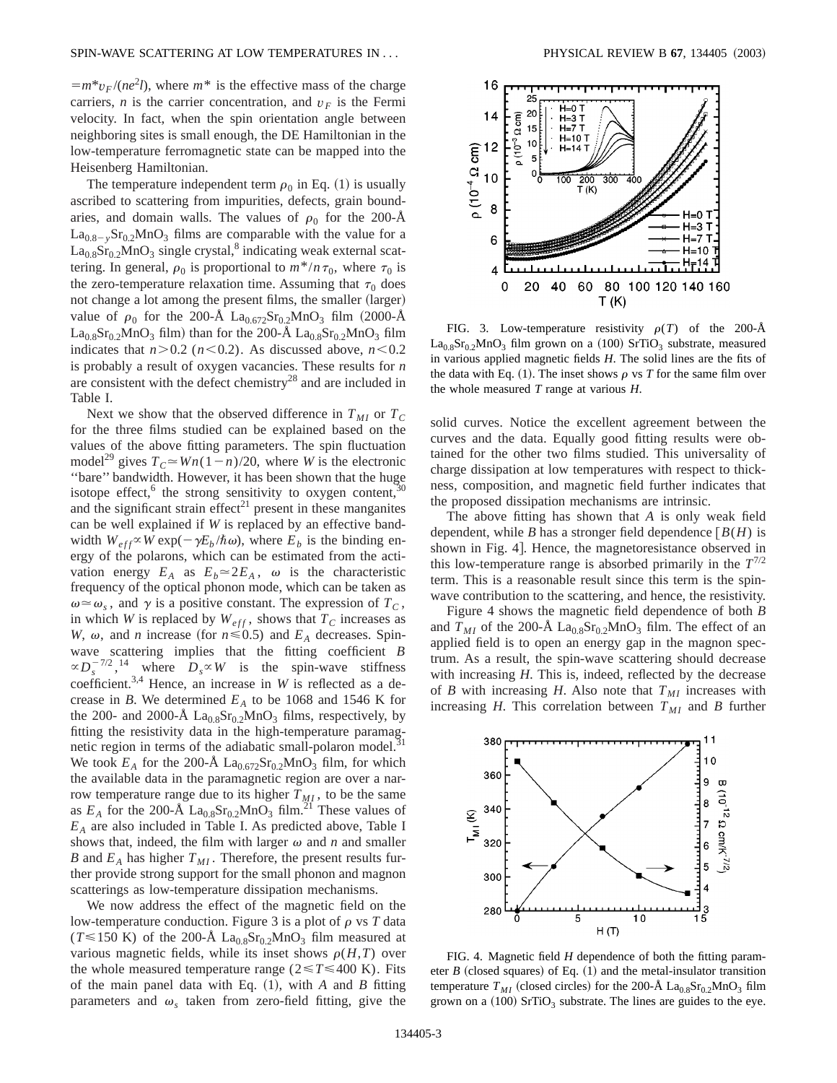$=m* v_F/(ne^2 l)$ , where  $m*$  is the effective mass of the charge carriers, *n* is the carrier concentration, and  $v_F$  is the Fermi velocity. In fact, when the spin orientation angle between neighboring sites is small enough, the DE Hamiltonian in the low-temperature ferromagnetic state can be mapped into the Heisenberg Hamiltonian.

The temperature independent term  $\rho_0$  in Eq. (1) is usually ascribed to scattering from impurities, defects, grain boundaries, and domain walls. The values of  $\rho_0$  for the 200-Å  $La<sub>0.8-y</sub>Sr<sub>0.2</sub>MnO<sub>3</sub>$  films are comparable with the value for a  $La<sub>0.8</sub>Sr<sub>0.2</sub>MnO<sub>3</sub> single crystal<sup>8</sup> indicating weak external scat$ tering. In general,  $\rho_0$  is proportional to  $m^*/n\tau_0$ , where  $\tau_0$  is the zero-temperature relaxation time. Assuming that  $\tau_0$  does not change a lot among the present films, the smaller (larger) value of  $\rho_0$  for the 200-Å La<sub>0.672</sub>Sr<sub>0.2</sub>MnO<sub>3</sub> film (2000-Å  $La<sub>0.8</sub>Sr<sub>0.2</sub>MnO<sub>3</sub> film) than for the 200-Å  $La<sub>0.8</sub>Sr<sub>0.2</sub>MnO<sub>3</sub> film$$ indicates that  $n > 0.2$  ( $n < 0.2$ ). As discussed above,  $n < 0.2$ is probably a result of oxygen vacancies. These results for *n* are consistent with the defect chemistry28 and are included in Table I.

Next we show that the observed difference in  $T_{MI}$  or  $T_C$ for the three films studied can be explained based on the values of the above fitting parameters. The spin fluctuation model<sup>29</sup> gives  $T_c \approx Wn(1-n)/20$ , where *W* is the electronic ''bare'' bandwidth. However, it has been shown that the huge isotope effect,<sup>6</sup> the strong sensitivity to oxygen content,<sup>3</sup> and the significant strain effect<sup>21</sup> present in these manganites can be well explained if *W* is replaced by an effective bandwidth  $W_{eff} \propto W \exp(-\gamma E_b / \hbar \omega)$ , where  $E_b$  is the binding energy of the polarons, which can be estimated from the activation energy  $E_A$  as  $E_b \approx 2E_A$ ,  $\omega$  is the characteristic frequency of the optical phonon mode, which can be taken as  $\omega \approx \omega_s$ , and  $\gamma$  is a positive constant. The expression of  $T_c$ , in which *W* is replaced by  $W_{eff}$ , shows that  $T_C$  increases as *W*,  $\omega$ , and *n* increase (for  $n \le 0.5$ ) and  $E_A$  decreases. Spinwave scattering implies that the fitting coefficient *B*  $\propto D_s^{-7/2}$ , <sup>14</sup> where  $D_s \propto W$  is the spin-wave stiffness coefficient.<sup>3,4</sup> Hence, an increase in *W* is reflected as a decrease in *B*. We determined  $E_A$  to be 1068 and 1546 K for the 200- and 2000-Å  $La<sub>0.8</sub>Sr<sub>0.2</sub>MnO<sub>3</sub>$  films, respectively, by fitting the resistivity data in the high-temperature paramagnetic region in terms of the adiabatic small-polaron model.<sup>31</sup> We took  $E_A$  for the 200-Å La<sub>0.672</sub>Sr<sub>0.2</sub>MnO<sub>3</sub> film, for which the available data in the paramagnetic region are over a narrow temperature range due to its higher  $T_{MI}$ , to be the same as  $E_A$  for the 200-Å  $La_{0.8}Sr_{0.2}MnO_3$  film.<sup>21</sup> These values of *EA* are also included in Table I. As predicted above, Table I shows that, indeed, the film with larger  $\omega$  and *n* and smaller *B* and  $E_A$  has higher  $T_{MI}$ . Therefore, the present results further provide strong support for the small phonon and magnon scatterings as low-temperature dissipation mechanisms.

We now address the effect of the magnetic field on the low-temperature conduction. Figure 3 is a plot of  $\rho$  vs  $T$  data  $(T \le 150 \text{ K})$  of the 200-Å La<sub>0.8</sub>Sr<sub>0.2</sub>MnO<sub>3</sub> film measured at various magnetic fields, while its inset shows  $\rho(H,T)$  over the whole measured temperature range ( $2 \le T \le 400$  K). Fits of the main panel data with Eq.  $(1)$ , with *A* and *B* fitting parameters and  $\omega$ <sub>s</sub> taken from zero-field fitting, give the



FIG. 3. Low-temperature resistivity  $\rho(T)$  of the 200-Å  $La<sub>0.8</sub>Sr<sub>0.2</sub>MnO<sub>3</sub>$  film grown on a (100) SrTiO<sub>3</sub> substrate, measured in various applied magnetic fields *H*. The solid lines are the fits of the data with Eq.  $(1)$ . The inset shows  $\rho$  vs *T* for the same film over the whole measured *T* range at various *H*.

solid curves. Notice the excellent agreement between the curves and the data. Equally good fitting results were obtained for the other two films studied. This universality of charge dissipation at low temperatures with respect to thickness, composition, and magnetic field further indicates that the proposed dissipation mechanisms are intrinsic.

The above fitting has shown that *A* is only weak field dependent, while *B* has a stronger field dependence  $[B(H)]$  is shown in Fig. 4.. Hence, the magnetoresistance observed in this low-temperature range is absorbed primarily in the  $T^{7/2}$ term. This is a reasonable result since this term is the spinwave contribution to the scattering, and hence, the resistivity.

Figure 4 shows the magnetic field dependence of both *B* and  $T_{MI}$  of the 200-Å  $\text{La}_{0.8}\text{Sr}_{0.2}\text{MnO}_3$  film. The effect of an applied field is to open an energy gap in the magnon spectrum. As a result, the spin-wave scattering should decrease with increasing *H*. This is, indeed, reflected by the decrease of *B* with increasing *H*. Also note that  $T_{MI}$  increases with increasing *H*. This correlation between  $T_{MI}$  and *B* further



FIG. 4. Magnetic field *H* dependence of both the fitting parameter *B* (closed squares) of Eq.  $(1)$  and the metal-insulator transition temperature  $T_{MI}$  (closed circles) for the 200-Å  $\text{La}_{0.8}\text{Sr}_{0.2}\text{MnO}_3$  film grown on a  $(100)$  SrTiO<sub>3</sub> substrate. The lines are guides to the eye.